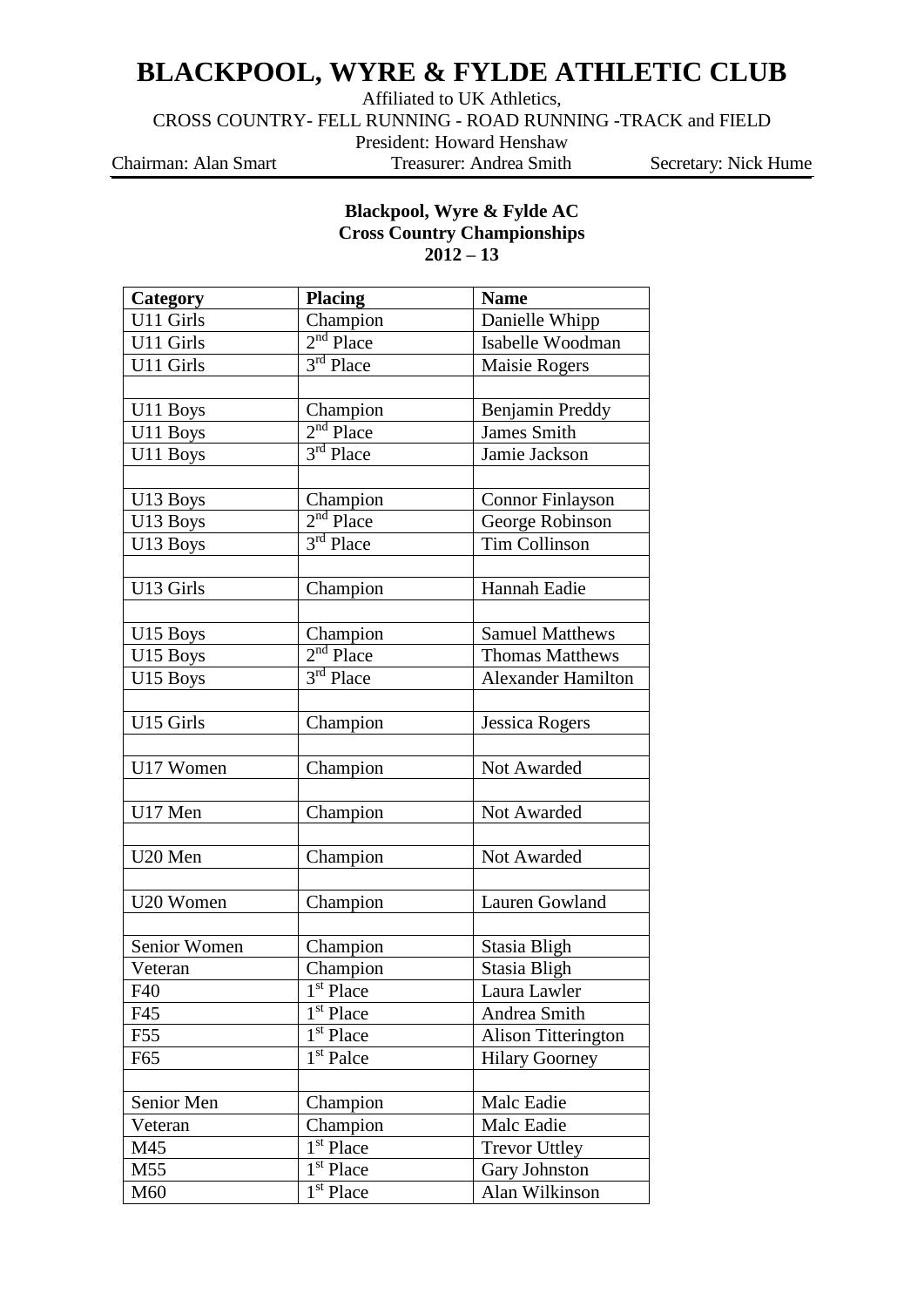## **BLACKPOOL, WYRE & FYLDE ATHLETIC CLUB**

Affiliated to UK Athletics,

CROSS COUNTRY- FELL RUNNING - ROAD RUNNING -TRACK and FIELD

President: Howard Henshaw

Chairman: Alan Smart Treasurer: Andrea Smith Secretary: Nick Hume

## **Blackpool, Wyre & Fylde AC Cross Country Championships 2012 – 13**

| Category     | <b>Placing</b>                     | <b>Name</b>               |
|--------------|------------------------------------|---------------------------|
| U11 Girls    | Champion                           | Danielle Whipp            |
| U11 Girls    | $2nd$ Place                        | Isabelle Woodman          |
| U11 Girls    | 3rd Place                          | Maisie Rogers             |
|              |                                    |                           |
| U11 Boys     | Champion                           | Benjamin Preddy           |
| U11 Boys     | $2nd$ Place                        | <b>James Smith</b>        |
| U11 Boys     | $3rd$ Place                        | Jamie Jackson             |
|              |                                    |                           |
| U13 Boys     | Champion                           | Connor Finlayson          |
| U13 Boys     | $2nd$ Place                        | George Robinson           |
| U13 Boys     | $3rd$ Place                        | <b>Tim Collinson</b>      |
|              |                                    |                           |
| U13 Girls    | Champion                           | Hannah Eadie              |
|              |                                    |                           |
| U15 Boys     | Champion                           | <b>Samuel Matthews</b>    |
| U15 Boys     | $2nd$ Place                        | <b>Thomas Matthews</b>    |
| U15 Boys     | 3rd Place                          | <b>Alexander Hamilton</b> |
|              |                                    |                           |
| U15 Girls    | Champion                           | <b>Jessica Rogers</b>     |
|              |                                    |                           |
| U17 Women    | Champion                           | Not Awarded               |
|              |                                    |                           |
| U17 Men      | Champion                           | Not Awarded               |
|              |                                    |                           |
| U20 Men      | Champion                           | Not Awarded               |
|              |                                    |                           |
| U20 Women    | Champion                           | Lauren Gowland            |
|              |                                    |                           |
| Senior Women | Champion                           | Stasia Bligh              |
| Veteran      | Champion                           | Stasia Bligh              |
| F40          | 1 <sup>st</sup> Place              | Laura Lawler              |
| F45          | 1 <sup>st</sup> Place              | Andrea Smith              |
| F55          | $\overline{1}$ <sup>st</sup> Place | Alison Titterington       |
| F65          | $\overline{1}$ <sup>st</sup> Palce | <b>Hilary Goorney</b>     |
|              |                                    |                           |
| Senior Men   | Champion                           | Malc Eadie                |
| Veteran      | Champion                           | Malc Eadie                |
| M45          | 1 <sup>st</sup> Place              | <b>Trevor Uttley</b>      |
| M55          | 1 <sup>st</sup> Place              | Gary Johnston             |
| M60          | $\overline{1}$ <sup>st</sup> Place | Alan Wilkinson            |